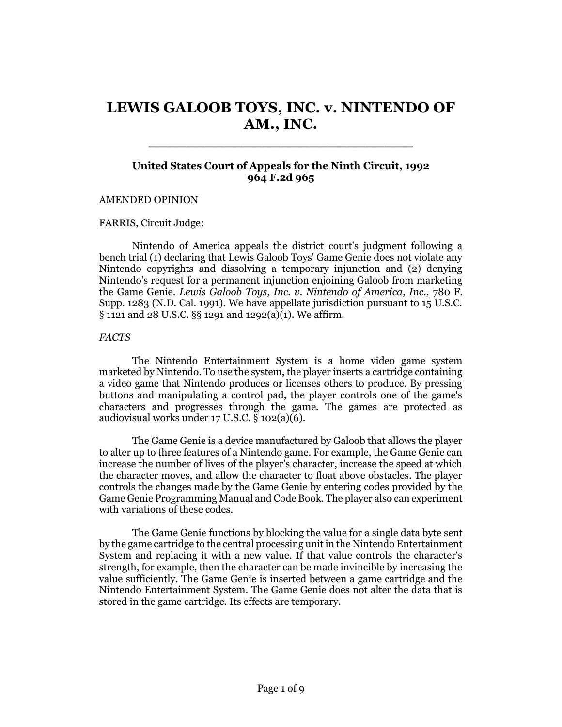# **LEWIS GALOOB TOYS, INC. v. NINTENDO OF AM., INC.**

\_\_\_\_\_\_\_\_\_\_\_\_\_\_\_\_\_\_\_\_\_\_\_\_\_\_\_\_

## **United States Court of Appeals for the Ninth Circuit, 1992 964 F.2d 965**

#### AMENDED OPINION

#### FARRIS, Circuit Judge:

Nintendo of America appeals the district court's judgment following a bench trial (1) declaring that Lewis Galoob Toys' Game Genie does not violate any Nintendo copyrights and dissolving a temporary injunction and (2) denying Nintendo's request for a permanent injunction enjoining Galoob from marketing the Game Genie. *Lewis Galoob Toys, Inc. v. Nintendo of America, Inc.,* 780 F. Supp. 1283 (N.D. Cal. 1991). We have appellate jurisdiction pursuant to 15 U.S.C. § 1121 and 28 U.S.C. §§ 1291 and 1292(a)(1). We affirm.

#### *FACTS*

The Nintendo Entertainment System is a home video game system marketed by Nintendo. To use the system, the player inserts a cartridge containing a video game that Nintendo produces or licenses others to produce. By pressing buttons and manipulating a control pad, the player controls one of the game's characters and progresses through the game. The games are protected as audiovisual works under 17 U.S.C. § 102(a)(6).

The Game Genie is a device manufactured by Galoob that allows the player to alter up to three features of a Nintendo game. For example, the Game Genie can increase the number of lives of the player's character, increase the speed at which the character moves, and allow the character to float above obstacles. The player controls the changes made by the Game Genie by entering codes provided by the Game Genie Programming Manual and Code Book. The player also can experiment with variations of these codes.

The Game Genie functions by blocking the value for a single data byte sent by the game cartridge to the central processing unit in the Nintendo Entertainment System and replacing it with a new value. If that value controls the character's strength, for example, then the character can be made invincible by increasing the value sufficiently. The Game Genie is inserted between a game cartridge and the Nintendo Entertainment System. The Game Genie does not alter the data that is stored in the game cartridge. Its effects are temporary.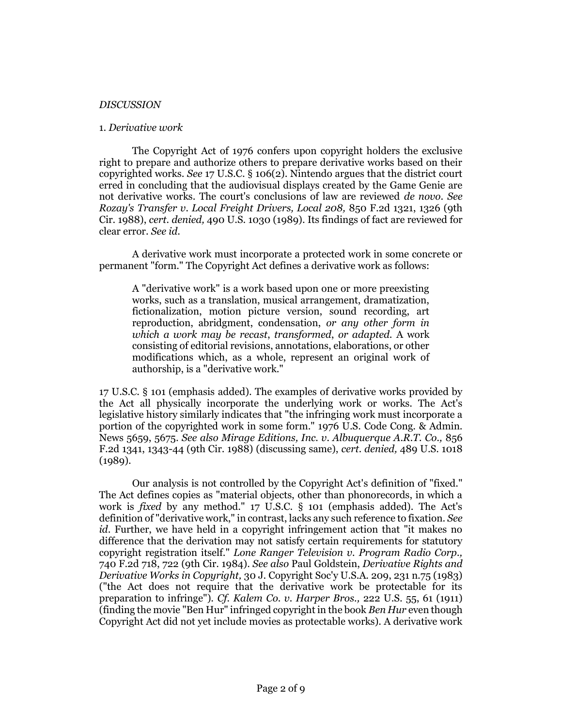#### *DISCUSSION*

#### 1. *Derivative work*

The Copyright Act of 1976 confers upon copyright holders the exclusive right to prepare and authorize others to prepare derivative works based on their copyrighted works. *See* 17 U.S.C. § 106(2). Nintendo argues that the district court erred in concluding that the audiovisual displays created by the Game Genie are not derivative works. The court's conclusions of law are reviewed *de novo*. *See Rozay's Transfer v. Local Freight Drivers, Local 208,* 850 F.2d 1321, 1326 (9th Cir. 1988), *cert. denied,* 490 U.S. 1030 (1989). Its findings of fact are reviewed for clear error. *See id*.

A derivative work must incorporate a protected work in some concrete or permanent "form." The Copyright Act defines a derivative work as follows:

A "derivative work" is a work based upon one or more preexisting works, such as a translation, musical arrangement, dramatization, fictionalization, motion picture version, sound recording, art reproduction, abridgment, condensation, *or any other form in which a work may be recast*, *transformed*, *or adapted*. A work consisting of editorial revisions, annotations, elaborations, or other modifications which, as a whole, represent an original work of authorship, is a "derivative work."

17 U.S.C. § 101 (emphasis added). The examples of derivative works provided by the Act all physically incorporate the underlying work or works. The Act's legislative history similarly indicates that "the infringing work must incorporate a portion of the copyrighted work in some form." 1976 U.S. Code Cong. & Admin. News 5659, 5675. *See also Mirage Editions, Inc. v. Albuquerque A.R.T. Co.,* 856 F.2d 1341, 1343-44 (9th Cir. 1988) (discussing same), *cert. denied,* 489 U.S. 1018 (1989).

Our analysis is not controlled by the Copyright Act's definition of "fixed." The Act defines copies as "material objects, other than phonorecords, in which a work is *fixed* by any method." 17 U.S.C. § 101 (emphasis added). The Act's definition of "derivative work," in contrast, lacks any such reference to fixation. *See id*. Further, we have held in a copyright infringement action that "it makes no difference that the derivation may not satisfy certain requirements for statutory copyright registration itself." *Lone Ranger Television v. Program Radio Corp.,* 740 F.2d 718, 722 (9th Cir. 1984). *See also* Paul Goldstein, *Derivative Rights and Derivative Works in Copyright,* 30 J. Copyright Soc'y U.S.A. 209, 231 n.75 (1983) ("the Act does not require that the derivative work be protectable for its preparation to infringe"). *Cf. Kalem Co. v. Harper Bros.,* 222 U.S. 55, 61 (1911) (finding the movie "Ben Hur" infringed copyright in the book *Ben Hur* even though Copyright Act did not yet include movies as protectable works). A derivative work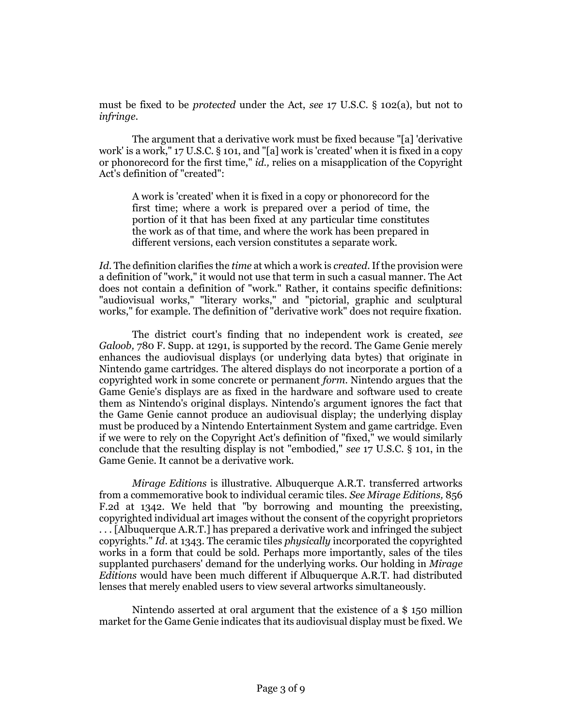must be fixed to be *protected* under the Act, *see* 17 U.S.C. § 102(a), but not to *infringe*.

The argument that a derivative work must be fixed because "[a] 'derivative work' is a work," 17 U.S.C. § 101, and "[a] work is 'created' when it is fixed in a copy or phonorecord for the first time," *id.,* relies on a misapplication of the Copyright Act's definition of "created":

A work is 'created' when it is fixed in a copy or phonorecord for the first time; where a work is prepared over a period of time, the portion of it that has been fixed at any particular time constitutes the work as of that time, and where the work has been prepared in different versions, each version constitutes a separate work.

*Id*. The definition clarifies the *time* at which a work is *created*. If the provision were a definition of "work," it would not use that term in such a casual manner. The Act does not contain a definition of "work." Rather, it contains specific definitions: "audiovisual works," "literary works," and "pictorial, graphic and sculptural works," for example. The definition of "derivative work" does not require fixation.

The district court's finding that no independent work is created, *see Galoob,* 780 F. Supp. at 1291, is supported by the record. The Game Genie merely enhances the audiovisual displays (or underlying data bytes) that originate in Nintendo game cartridges. The altered displays do not incorporate a portion of a copyrighted work in some concrete or permanent *form*. Nintendo argues that the Game Genie's displays are as fixed in the hardware and software used to create them as Nintendo's original displays. Nintendo's argument ignores the fact that the Game Genie cannot produce an audiovisual display; the underlying display must be produced by a Nintendo Entertainment System and game cartridge. Even if we were to rely on the Copyright Act's definition of "fixed," we would similarly conclude that the resulting display is not "embodied," *see* 17 U.S.C. § 101, in the Game Genie. It cannot be a derivative work.

*Mirage Editions* is illustrative. Albuquerque A.R.T. transferred artworks from a commemorative book to individual ceramic tiles. *See Mirage Editions,* 856 F.2d at 1342. We held that "by borrowing and mounting the preexisting, copyrighted individual art images without the consent of the copyright proprietors . . . [Albuquerque A.R.T.] has prepared a derivative work and infringed the subject copyrights." *Id*. at 1343. The ceramic tiles *physically* incorporated the copyrighted works in a form that could be sold. Perhaps more importantly, sales of the tiles supplanted purchasers' demand for the underlying works. Our holding in *Mirage Editions* would have been much different if Albuquerque A.R.T. had distributed lenses that merely enabled users to view several artworks simultaneously.

Nintendo asserted at oral argument that the existence of a \$ 150 million market for the Game Genie indicates that its audiovisual display must be fixed. We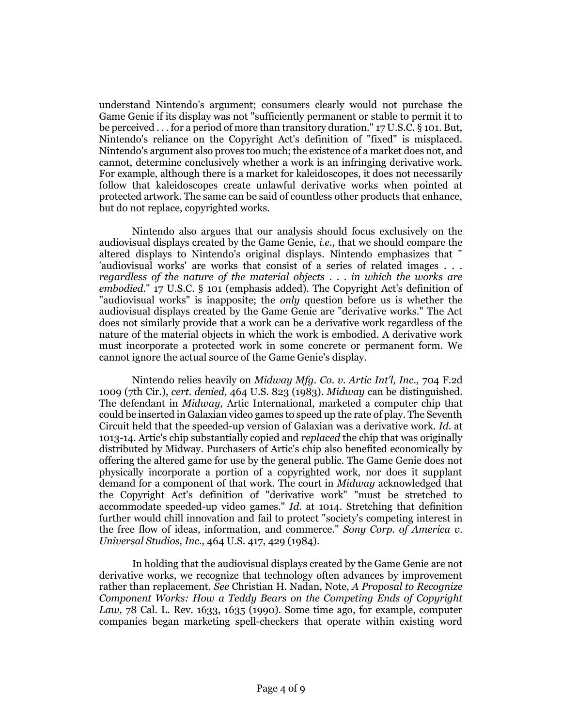understand Nintendo's argument; consumers clearly would not purchase the Game Genie if its display was not "sufficiently permanent or stable to permit it to be perceived . . . for a period of more than transitory duration." 17 U.S.C. § 101. But, Nintendo's reliance on the Copyright Act's definition of "fixed" is misplaced. Nintendo's argument also proves too much; the existence of a market does not, and cannot, determine conclusively whether a work is an infringing derivative work. For example, although there is a market for kaleidoscopes, it does not necessarily follow that kaleidoscopes create unlawful derivative works when pointed at protected artwork. The same can be said of countless other products that enhance, but do not replace, copyrighted works.

Nintendo also argues that our analysis should focus exclusively on the audiovisual displays created by the Game Genie, *i.e.,* that we should compare the altered displays to Nintendo's original displays. Nintendo emphasizes that " 'audiovisual works' are works that consist of a series of related images . . . *regardless of the nature of the material objects* . . . *in which the works are embodied*." 17 U.S.C. § 101 (emphasis added). The Copyright Act's definition of "audiovisual works" is inapposite; the *only* question before us is whether the audiovisual displays created by the Game Genie are "derivative works." The Act does not similarly provide that a work can be a derivative work regardless of the nature of the material objects in which the work is embodied. A derivative work must incorporate a protected work in some concrete or permanent form. We cannot ignore the actual source of the Game Genie's display.

Nintendo relies heavily on *Midway Mfg. Co. v. Artic Int'l, Inc.,* 704 F.2d 1009 (7th Cir.), *cert. denied,* 464 U.S. 823 (1983). *Midway* can be distinguished. The defendant in *Midway,* Artic International, marketed a computer chip that could be inserted in Galaxian video games to speed up the rate of play. The Seventh Circuit held that the speeded-up version of Galaxian was a derivative work. *Id*. at 1013-14. Artic's chip substantially copied and *replaced* the chip that was originally distributed by Midway. Purchasers of Artic's chip also benefited economically by offering the altered game for use by the general public. The Game Genie does not physically incorporate a portion of a copyrighted work, nor does it supplant demand for a component of that work. The court in *Midway* acknowledged that the Copyright Act's definition of "derivative work" "must be stretched to accommodate speeded-up video games." *Id*. at 1014. Stretching that definition further would chill innovation and fail to protect "society's competing interest in the free flow of ideas, information, and commerce." *Sony Corp. of America v. Universal Studios, Inc.,* 464 U.S. 417, 429 (1984).

In holding that the audiovisual displays created by the Game Genie are not derivative works, we recognize that technology often advances by improvement rather than replacement. *See* Christian H. Nadan, Note, *A Proposal to Recognize Component Works: How a Teddy Bears on the Competing Ends of Copyright Law,* 78 Cal. L. Rev. 1633, 1635 (1990). Some time ago, for example, computer companies began marketing spell-checkers that operate within existing word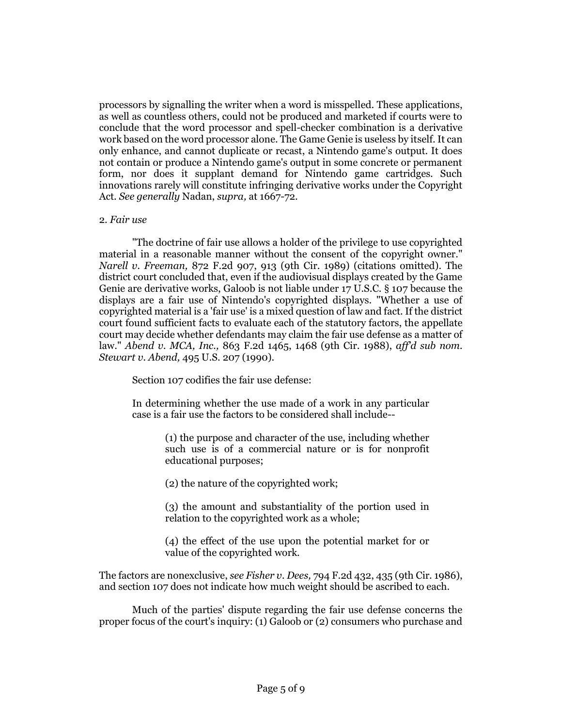processors by signalling the writer when a word is misspelled. These applications, as well as countless others, could not be produced and marketed if courts were to conclude that the word processor and spell-checker combination is a derivative work based on the word processor alone. The Game Genie is useless by itself. It can only enhance, and cannot duplicate or recast, a Nintendo game's output. It does not contain or produce a Nintendo game's output in some concrete or permanent form, nor does it supplant demand for Nintendo game cartridges. Such innovations rarely will constitute infringing derivative works under the Copyright Act. *See generally* Nadan, *supra,* at 1667-72.

#### 2. *Fair use*

"The doctrine of fair use allows a holder of the privilege to use copyrighted material in a reasonable manner without the consent of the copyright owner." *Narell v. Freeman,* 872 F.2d 907, 913 (9th Cir. 1989) (citations omitted). The district court concluded that, even if the audiovisual displays created by the Game Genie are derivative works, Galoob is not liable under 17 U.S.C. § 107 because the displays are a fair use of Nintendo's copyrighted displays. "Whether a use of copyrighted material is a 'fair use' is a mixed question of law and fact. If the district court found sufficient facts to evaluate each of the statutory factors, the appellate court may decide whether defendants may claim the fair use defense as a matter of law." *Abend v. MCA, Inc.,* 863 F.2d 1465, 1468 (9th Cir. 1988), *aff'd sub nom. Stewart v. Abend,* 495 U.S. 207 (1990).

Section 107 codifies the fair use defense:

In determining whether the use made of a work in any particular case is a fair use the factors to be considered shall include--

> (1) the purpose and character of the use, including whether such use is of a commercial nature or is for nonprofit educational purposes;

(2) the nature of the copyrighted work;

(3) the amount and substantiality of the portion used in relation to the copyrighted work as a whole;

(4) the effect of the use upon the potential market for or value of the copyrighted work.

The factors are nonexclusive, *see Fisher v. Dees,* 794 F.2d 432, 435 (9th Cir. 1986), and section 107 does not indicate how much weight should be ascribed to each.

Much of the parties' dispute regarding the fair use defense concerns the proper focus of the court's inquiry: (1) Galoob or (2) consumers who purchase and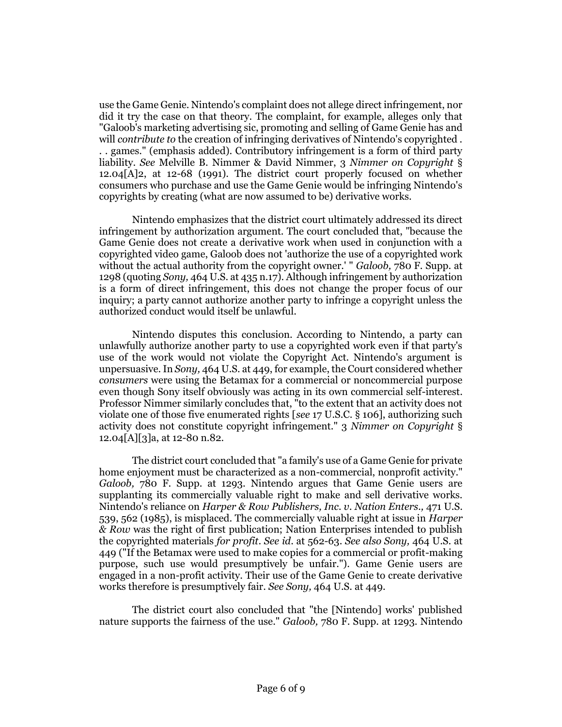use the Game Genie. Nintendo's complaint does not allege direct infringement, nor did it try the case on that theory. The complaint, for example, alleges only that "Galoob's marketing advertising sic, promoting and selling of Game Genie has and will *contribute to* the creation of infringing derivatives of Nintendo's copyrighted . . . games." (emphasis added). Contributory infringement is a form of third party liability. *See* Melville B. Nimmer & David Nimmer, 3 *Nimmer on Copyright* § 12.04[A]2, at 12-68 (1991). The district court properly focused on whether consumers who purchase and use the Game Genie would be infringing Nintendo's copyrights by creating (what are now assumed to be) derivative works.

Nintendo emphasizes that the district court ultimately addressed its direct infringement by authorization argument. The court concluded that, "because the Game Genie does not create a derivative work when used in conjunction with a copyrighted video game, Galoob does not 'authorize the use of a copyrighted work without the actual authority from the copyright owner.' " *Galoob,* 780 F. Supp. at 1298 (quoting *Sony,* 464 U.S. at 435 n.17). Although infringement by authorization is a form of direct infringement, this does not change the proper focus of our inquiry; a party cannot authorize another party to infringe a copyright unless the authorized conduct would itself be unlawful.

Nintendo disputes this conclusion. According to Nintendo, a party can unlawfully authorize another party to use a copyrighted work even if that party's use of the work would not violate the Copyright Act. Nintendo's argument is unpersuasive. In *Sony,* 464 U.S. at 449, for example, the Court considered whether *consumers* were using the Betamax for a commercial or noncommercial purpose even though Sony itself obviously was acting in its own commercial self-interest. Professor Nimmer similarly concludes that, "to the extent that an activity does not violate one of those five enumerated rights [*see* 17 U.S.C. § 106], authorizing such activity does not constitute copyright infringement." 3 *Nimmer on Copyright* § 12.04[A][3]a, at 12-80 n.82.

The district court concluded that "a family's use of a Game Genie for private home enjoyment must be characterized as a non-commercial, nonprofit activity." *Galoob,* 780 F. Supp. at 1293. Nintendo argues that Game Genie users are supplanting its commercially valuable right to make and sell derivative works. Nintendo's reliance on *Harper & Row Publishers, Inc. v. Nation Enters.,* 471 U.S. 539, 562 (1985), is misplaced. The commercially valuable right at issue in *Harper & Row* was the right of first publication; Nation Enterprises intended to publish the copyrighted materials *for profit*. *See id*. at 562-63. *See also Sony,* 464 U.S. at 449 ("If the Betamax were used to make copies for a commercial or profit-making purpose, such use would presumptively be unfair."). Game Genie users are engaged in a non-profit activity. Their use of the Game Genie to create derivative works therefore is presumptively fair. *See Sony,* 464 U.S. at 449.

The district court also concluded that "the [Nintendo] works' published nature supports the fairness of the use." *Galoob,* 780 F. Supp. at 1293. Nintendo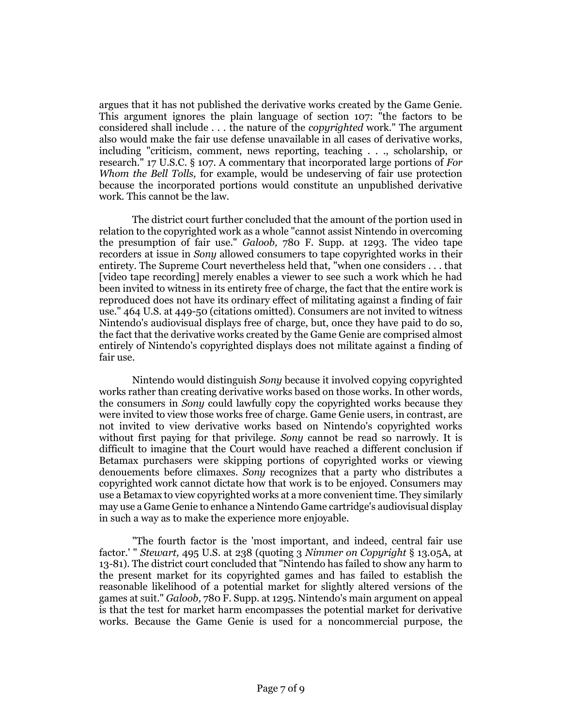argues that it has not published the derivative works created by the Game Genie. This argument ignores the plain language of section 107: "the factors to be considered shall include . . . the nature of the *copyrighted* work." The argument also would make the fair use defense unavailable in all cases of derivative works, including "criticism, comment, news reporting, teaching . . ., scholarship, or research." 17 U.S.C. § 107. A commentary that incorporated large portions of *For Whom the Bell Tolls,* for example, would be undeserving of fair use protection because the incorporated portions would constitute an unpublished derivative work. This cannot be the law.

The district court further concluded that the amount of the portion used in relation to the copyrighted work as a whole "cannot assist Nintendo in overcoming the presumption of fair use." *Galoob,* 780 F. Supp. at 1293. The video tape recorders at issue in *Sony* allowed consumers to tape copyrighted works in their entirety. The Supreme Court nevertheless held that, "when one considers . . . that [video tape recording] merely enables a viewer to see such a work which he had been invited to witness in its entirety free of charge, the fact that the entire work is reproduced does not have its ordinary effect of militating against a finding of fair use." 464 U.S. at 449-50 (citations omitted). Consumers are not invited to witness Nintendo's audiovisual displays free of charge, but, once they have paid to do so, the fact that the derivative works created by the Game Genie are comprised almost entirely of Nintendo's copyrighted displays does not militate against a finding of fair use.

Nintendo would distinguish *Sony* because it involved copying copyrighted works rather than creating derivative works based on those works. In other words, the consumers in *Sony* could lawfully copy the copyrighted works because they were invited to view those works free of charge. Game Genie users, in contrast, are not invited to view derivative works based on Nintendo's copyrighted works without first paying for that privilege. *Sony* cannot be read so narrowly. It is difficult to imagine that the Court would have reached a different conclusion if Betamax purchasers were skipping portions of copyrighted works or viewing denouements before climaxes. *Sony* recognizes that a party who distributes a copyrighted work cannot dictate how that work is to be enjoyed. Consumers may use a Betamax to view copyrighted works at a more convenient time. They similarly may use a Game Genie to enhance a Nintendo Game cartridge's audiovisual display in such a way as to make the experience more enjoyable.

"The fourth factor is the 'most important, and indeed, central fair use factor.' " *Stewart,* 495 U.S. at 238 (quoting 3 *Nimmer on Copyright* § 13.05A, at 13-81). The district court concluded that "Nintendo has failed to show any harm to the present market for its copyrighted games and has failed to establish the reasonable likelihood of a potential market for slightly altered versions of the games at suit." *Galoob,* 780 F. Supp. at 1295. Nintendo's main argument on appeal is that the test for market harm encompasses the potential market for derivative works. Because the Game Genie is used for a noncommercial purpose, the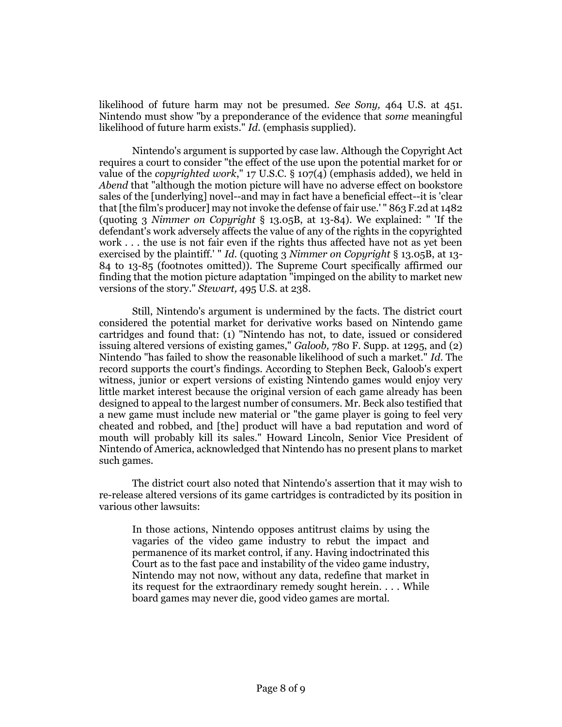likelihood of future harm may not be presumed. *See Sony,* 464 U.S. at 451. Nintendo must show "by a preponderance of the evidence that *some* meaningful likelihood of future harm exists." *Id*. (emphasis supplied).

Nintendo's argument is supported by case law. Although the Copyright Act requires a court to consider "the effect of the use upon the potential market for or value of the *copyrighted work*," 17 U.S.C. § 107(4) (emphasis added), we held in *Abend* that "although the motion picture will have no adverse effect on bookstore sales of the [underlying] novel--and may in fact have a beneficial effect--it is 'clear that [the film's producer] may not invoke the defense of fair use.' " 863 F.2d at 1482 (quoting 3 *Nimmer on Copyright* § 13.05B, at 13-84). We explained: " 'If the defendant's work adversely affects the value of any of the rights in the copyrighted work . . . the use is not fair even if the rights thus affected have not as yet been exercised by the plaintiff.' " *Id*. (quoting 3 *Nimmer on Copyright* § 13.05B, at 13- 84 to 13-85 (footnotes omitted)). The Supreme Court specifically affirmed our finding that the motion picture adaptation "impinged on the ability to market new versions of the story." *Stewart,* 495 U.S. at 238.

Still, Nintendo's argument is undermined by the facts. The district court considered the potential market for derivative works based on Nintendo game cartridges and found that: (1) "Nintendo has not, to date, issued or considered issuing altered versions of existing games," *Galoob,* 780 F. Supp. at 1295, and (2) Nintendo "has failed to show the reasonable likelihood of such a market." *Id*. The record supports the court's findings. According to Stephen Beck, Galoob's expert witness, junior or expert versions of existing Nintendo games would enjoy very little market interest because the original version of each game already has been designed to appeal to the largest number of consumers. Mr. Beck also testified that a new game must include new material or "the game player is going to feel very cheated and robbed, and [the] product will have a bad reputation and word of mouth will probably kill its sales." Howard Lincoln, Senior Vice President of Nintendo of America, acknowledged that Nintendo has no present plans to market such games.

The district court also noted that Nintendo's assertion that it may wish to re-release altered versions of its game cartridges is contradicted by its position in various other lawsuits:

In those actions, Nintendo opposes antitrust claims by using the vagaries of the video game industry to rebut the impact and permanence of its market control, if any. Having indoctrinated this Court as to the fast pace and instability of the video game industry, Nintendo may not now, without any data, redefine that market in its request for the extraordinary remedy sought herein. . . . While board games may never die, good video games are mortal.